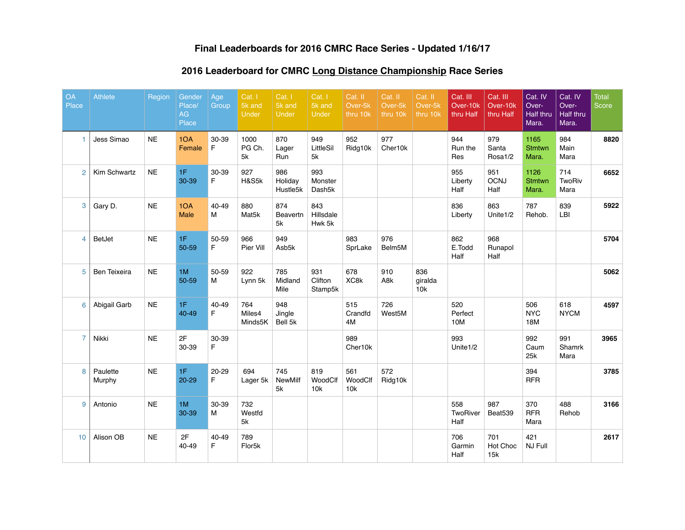## **Final Leaderboards for 2016 CMRC Race Series - Updated 1/16/17**

# **2016 Leaderboard for CMRC Long Distance Championship Race Series**

| <b>OA</b><br>Place | <b>Athlete</b>      | <b>Region</b> | Gender<br>Place/<br>AG<br>Place | Age<br>Group   | Cat. I<br>5k and<br>Under | Cat. I<br>5k and<br>Under   | Cat. I<br>5k and<br><b>Under</b> | Cat. II<br>Over-5k<br>thru 10k | Cat. II<br>Over-5k<br>thru 10k | Cat. II<br>Over-5k<br>thru 10k | Cat. III<br>Over-10k<br>thru Half | Cat. III<br>Over-10k<br>thru Half | Cat. IV<br>Over-<br>Half thru<br>Mara. | Cat. IV<br>Over-<br>Half thru<br>Mara. | <b>Total</b><br>Score |
|--------------------|---------------------|---------------|---------------------------------|----------------|---------------------------|-----------------------------|----------------------------------|--------------------------------|--------------------------------|--------------------------------|-----------------------------------|-----------------------------------|----------------------------------------|----------------------------------------|-----------------------|
| 1                  | Jess Simao          | <b>NE</b>     | 1OA<br>Female                   | 30-39<br>F     | 1000<br>PG Ch.<br>5k      | 870<br>Lager<br>Run         | 949<br>LittleSil<br>5k           | 952<br>Ridg10k                 | 977<br>Cher10k                 |                                | 944<br>Run the<br>Res             | 979<br>Santa<br>Rosa1/2           | 1165<br><b>Stmtwn</b><br>Mara.         | 984<br>Main<br>Mara                    | 8820                  |
| 2                  | Kim Schwartz        | $N\mathsf{E}$ | 1F<br>30-39                     | 30-39<br>F.    | 927<br>H&S5k              | 986<br>Holiday<br>Hustle5k  | 993<br>Monster<br>Dash5k         |                                |                                |                                | 955<br>Liberty<br>Half            | 951<br><b>OCNJ</b><br>Half        | 1126<br><b>Stmtwn</b><br>Mara.         | 714<br><b>TwoRiv</b><br>Mara           | 6652                  |
| 3                  | Gary D.             | <b>NE</b>     | 1OA<br>Male                     | 40-49<br>M     | 880<br>Mat <sub>5</sub> k | 874<br>Beavertn<br>5k       | 843<br>Hillsdale<br>Hwk 5k       |                                |                                |                                | 836<br>Liberty                    | 863<br>Unite1/2                   | 787<br>Rehob.                          | 839<br>LBI                             | 5922                  |
| $\overline{4}$     | BetJet              | <b>NE</b>     | 1F<br>50-59                     | 50-59<br>F.    | 966<br>Pier Vill          | 949<br>Asb5k                |                                  | 983<br>SprLake                 | 976<br>Belm <sub>5</sub> M     |                                | 862<br>E.Todd<br>Half             | 968<br>Runapol<br>Half            |                                        |                                        | 5704                  |
| 5                  | <b>Ben Teixeira</b> | <b>NE</b>     | 1M<br>50-59                     | 50-59<br>M     | 922<br>Lynn 5k            | 785<br>Midland<br>Mile      | 931<br>Clifton<br>Stamp5k        | 678<br>XC8k                    | 910<br>A8k                     | 836<br>giralda<br>10k          |                                   |                                   |                                        |                                        | 5062                  |
| 6                  | Abigail Garb        | <b>NE</b>     | 1F<br>40-49                     | 40-49<br>F.    | 764<br>Miles4<br>Minds5K  | 948<br>Jingle<br>Bell 5k    |                                  | 515<br>Crandfd<br>4M           | 726<br>West5M                  |                                | 520<br>Perfect<br>10M             |                                   | 506<br><b>NYC</b><br>18M               | 618<br><b>NYCM</b>                     | 4597                  |
| $\overline{7}$     | Nikki               | <b>NE</b>     | 2F<br>30-39                     | 30-39<br>F.    |                           |                             |                                  | 989<br>Cher10k                 |                                |                                | 993<br>Unite1/2                   |                                   | 992<br>Caum<br>25k                     | 991<br>Shamrk<br>Mara                  | 3965                  |
| 8                  | Paulette<br>Murphy  | <b>NE</b>     | 1F<br>$20 - 29$                 | $20 - 29$<br>F | 694<br>Lager 5k           | 745<br><b>NewMilf</b><br>5k | 819<br>WoodClf<br>10k            | 561<br>WoodClf<br>10k          | 572<br>Ridg10k                 |                                |                                   |                                   | 394<br><b>RFR</b>                      |                                        | 3785                  |
| 9                  | Antonio             | <b>NE</b>     | 1M<br>30-39                     | 30-39<br>M     | 732<br>Westfd<br>5k       |                             |                                  |                                |                                |                                | 558<br>TwoRiver<br>Half           | 987<br>Beat539                    | 370<br><b>RFR</b><br>Mara              | 488<br>Rehob                           | 3166                  |
| 10 <sup>1</sup>    | Alison OB           | <b>NE</b>     | 2F<br>40-49                     | 40-49<br>F.    | 789<br>Flor <sub>5k</sub> |                             |                                  |                                |                                |                                | 706<br>Garmin<br>Half             | 701<br>Hot Choc<br>15k            | 421<br><b>NJ Full</b>                  |                                        | 2617                  |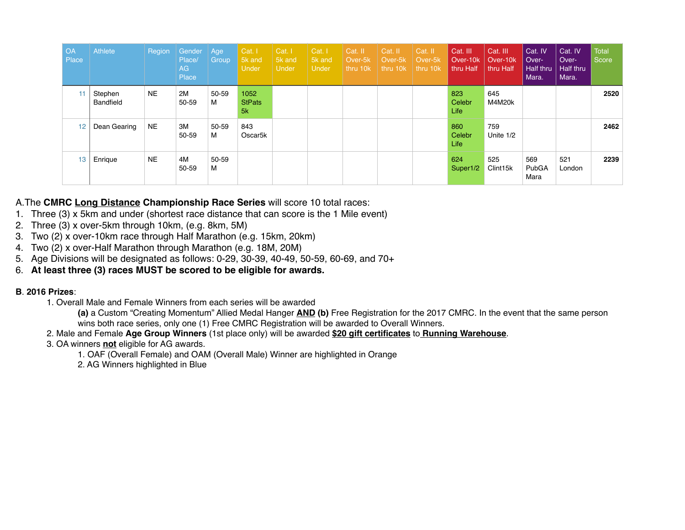| <b>OA</b><br><b>Place</b> | Athlete              | Region    | Gender<br>Place/<br>AG<br>Place | Age<br>Group | Cat. I<br>5k and<br>Under   | Cat. I<br>5k and<br><b>Under</b> | Cat. I<br>5k and<br><b>Under</b> | Cat. II<br>Over-5k<br>thru 10k | Cat. II<br>Over-5k<br>thru 10k | Cat. II<br>Over-5k<br>thru 10k | Cat. III<br>Over-10 <sub>k</sub><br>thru Half | Cat. III<br>Over-10k<br>thru Half | Cat. IV<br>Over-<br><b>Half thru</b><br>Mara. | Cat. IV<br>Over-<br>Half thru<br>Mara. | <b>Total</b><br>Score |
|---------------------------|----------------------|-----------|---------------------------------|--------------|-----------------------------|----------------------------------|----------------------------------|--------------------------------|--------------------------------|--------------------------------|-----------------------------------------------|-----------------------------------|-----------------------------------------------|----------------------------------------|-----------------------|
|                           | Stephen<br>Bandfield | <b>NE</b> | 2M<br>50-59                     | 50-59<br>М   | 1052<br><b>StPats</b><br>5k |                                  |                                  |                                |                                |                                | 823<br>Celebr<br>Life                         | 645<br>M4M20k                     |                                               |                                        | 2520                  |
| 12                        | Dean Gearing         | <b>NE</b> | 3M<br>50-59                     | 50-59<br>м   | 843<br>Oscar <sub>5</sub> k |                                  |                                  |                                |                                |                                | 860<br>Celebr<br>Life                         | 759<br>Unite 1/2                  |                                               |                                        | 2462                  |
| 13                        | Enrique              | <b>NE</b> | 4M<br>50-59                     | 50-59<br>м   |                             |                                  |                                  |                                |                                |                                | 624<br>Super1/2                               | 525<br>Clint <sub>15k</sub>       | 569<br>PubGA<br>Mara                          | 521<br>London                          | 2239                  |

#### A.The **CMRC Long Distance Championship Race Series** will score 10 total races:

- 1. Three (3) x 5km and under (shortest race distance that can score is the 1 Mile event)
- 2. Three (3) x over-5km through 10km, (e.g. 8km, 5M)
- 3. Two (2) x over-10km race through Half Marathon (e.g. 15km, 20km)
- 4. Two (2) x over-Half Marathon through Marathon (e.g. 18M, 20M)
- 5. Age Divisions will be designated as follows: 0-29, 30-39, 40-49, 50-59, 60-69, and 70+
- 6. **At least three (3) races MUST be scored to be eligible for awards.**

#### **B**. **2016 Prizes**:

1. Overall Male and Female Winners from each series will be awarded

**(a)** a Custom "Creating Momentum" Allied Medal Hanger **AND (b)** Free Registration for the 2017 CMRC. In the event that the same person wins both race series, only one (1) Free CMRC Registration will be awarded to Overall Winners.

- 2. Male and Female **Age Group Winners** (1st place only) will be awarded **\$20 gift certificates** to **Running Warehouse**.
- 3. OA winners **not** eligible for AG awards.
	- 1. OAF (Overall Female) and OAM (Overall Male) Winner are highlighted in Orange
	- 2. AG Winners highlighted in Blue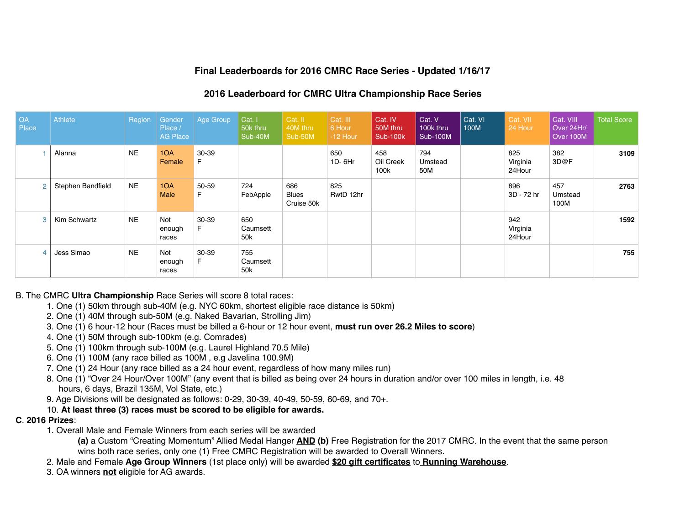## **Final Leaderboards for 2016 CMRC Race Series - Updated 1/16/17**

### **2016 Leaderboard for CMRC Ultra Championship Race Series**

| <b>OA</b><br>Place | Athlete           | Region    | Gender<br>Place /<br><b>AG Place</b> | Age Group   | Cat. I<br>50k thru<br>Sub-40M      | Cat. II<br>40M thru<br>Sub-50M    | Cat. III<br>6 Hour<br>$-12$ Hour | Cat. IV<br>50M thru<br><b>Sub-100k</b> | Cat. V<br>100k thru<br><b>Sub-100M</b> | Cat. VI<br>100M | Cat. VII<br>24 Hour       | Cat. VIII<br>Over 24Hr/<br>Over 100M | Total Score |
|--------------------|-------------------|-----------|--------------------------------------|-------------|------------------------------------|-----------------------------------|----------------------------------|----------------------------------------|----------------------------------------|-----------------|---------------------------|--------------------------------------|-------------|
|                    | Alanna            | <b>NE</b> | 1OA<br>Female                        | 30-39<br>F. |                                    |                                   | 650<br>1D-6Hr                    | 458<br>Oil Creek<br>100k               | 794<br>Umstead<br>50M                  |                 | 825<br>Virginia<br>24Hour | 382<br>3D@F                          | 3109        |
| $\overline{2}$     | Stephen Bandfield | <b>NE</b> | 1OA<br><b>Male</b>                   | 50-59<br>E  | 724<br>FebApple                    | 686<br><b>Blues</b><br>Cruise 50k | 825<br>RwtD 12hr                 |                                        |                                        |                 | 896<br>3D - 72 hr         | 457<br>Umstead<br>100M               | 2763        |
| 3                  | Kim Schwartz      | <b>NE</b> | Not<br>enough<br>races               | 30-39<br>F. | 650<br>Caumsett<br>50k             |                                   |                                  |                                        |                                        |                 | 942<br>Virginia<br>24Hour |                                      | 1592        |
| 4                  | Jess Simao        | <b>NE</b> | Not<br>enough<br>races               | 30-39<br>F. | 755<br>Caumsett<br>50 <sub>k</sub> |                                   |                                  |                                        |                                        |                 |                           |                                      | 755         |

#### B. The CMRC **Ultra Championship** Race Series will score 8 total races:

- 1. One (1) 50km through sub-40M (e.g. NYC 60km, shortest eligible race distance is 50km)
- 2. One (1) 40M through sub-50M (e.g. Naked Bavarian, Strolling Jim)
- 3. One (1) 6 hour-12 hour (Races must be billed a 6-hour or 12 hour event, **must run over 26.2 Miles to score**)
- 4. One (1) 50M through sub-100km (e.g. Comrades)
- 5. One (1) 100km through sub-100M (e.g. Laurel Highland 70.5 Mile)
- 6. One (1) 100M (any race billed as 100M , e.g Javelina 100.9M)
- 7. One (1) 24 Hour (any race billed as a 24 hour event, regardless of how many miles run)
- 8. One (1) "Over 24 Hour/Over 100M" (any event that is billed as being over 24 hours in duration and/or over 100 miles in length, i.e. 48 hours, 6 days, Brazil 135M, Vol State, etc.)
- 9. Age Divisions will be designated as follows: 0-29, 30-39, 40-49, 50-59, 60-69, and 70+.
- 10. **At least three (3) races must be scored to be eligible for awards.**

#### **C**. **2016 Prizes**:

1. Overall Male and Female Winners from each series will be awarded

**(a)** a Custom "Creating Momentum" Allied Medal Hanger **AND (b)** Free Registration for the 2017 CMRC. In the event that the same person wins both race series, only one (1) Free CMRC Registration will be awarded to Overall Winners.

- 2. Male and Female **Age Group Winners** (1st place only) will be awarded **\$20 gift certificates** to **Running Warehouse**.
- 3. OA winners **not** eligible for AG awards.